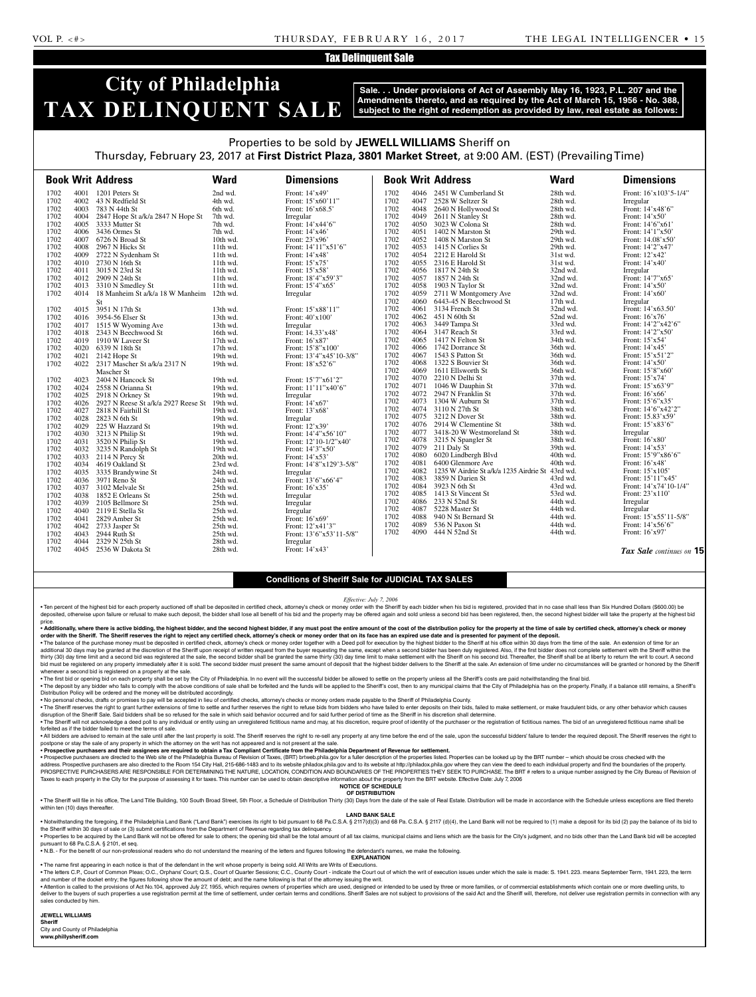### Tax Delinquent Sale

## **City of Philadelphia TAX DELINQUENT SALE**

**Sale. . . Under provisions of Act of Assembly May 16, 1923, P.L. 207 and the Amendments thereto, and as required by the Act of March 15, 1956 - No. 388, subject to the right of redemption as provided by law, real estate as follows:**

### Properties to be sold by **JEWELL WILLIAMS** Sheriff on Thursday, February 23, 2017 at **First District Plaza, 3801 Market Street**, at 9:00 AM. (EST) (Prevailing Time)

|      |      | <b>Book Writ Address</b>            | <b>Ward</b> | <b>Dimensions</b>        |      |      | <b>Book Writ Address</b>                         | <b>Ward</b> | <b>Dimensions</b>       |
|------|------|-------------------------------------|-------------|--------------------------|------|------|--------------------------------------------------|-------------|-------------------------|
| 1702 |      | 4001 1201 Peters St                 | 2nd wd.     | Front: 14'x49'           | 1702 | 4046 | 2451 W Cumberland St                             | 28th wd.    | Front: 16'x103'5-1/4"   |
| 1702 |      | 4002 43 N Redfield St               | 4th wd.     | Front: 15'x60'11"        | 1702 | 4047 | 2528 W Seltzer St                                | 28th wd.    | Irregular               |
| 1702 |      | 4003 783 N 44th St                  | 6th wd.     | Front: 16'x68.5'         | 1702 | 4048 | 2640 N Hollywood St                              | 28th wd.    | Front: 14'x48'6"        |
| 1702 | 4004 | 2847 Hope St a/k/a 2847 N Hope St   | 7th wd.     | Irregular                | 1702 | 4049 | 2611 N Stanley St                                | 28th wd.    | Front: 14'x50'          |
| 1702 |      | 4005 3333 Mutter St                 | 7th wd.     | Front: 14'x44'6"         | 1702 | 4050 | 3023 W Colona St                                 | 28th wd.    | Front: 14'6"x61'        |
| 1702 |      | 4006 3436 Ormes St                  | 7th wd.     | Front: 14'x46'           | 1702 | 4051 | 1402 N Marston St                                | 29th wd.    | Front: 14'1"x50"        |
| 1702 | 4007 | 6726 N Broad St                     | 10th wd.    | Front: 23'x96'           | 1702 | 4052 | 1408 N Marston St                                | 29th wd.    | Front: 14.08'x50'       |
| 1702 | 4008 | 2967 N Hicks St                     | 11th wd.    | Front: $14'11''x51'6''$  | 1702 | 4053 | 1415 N Corlies St                                | 29th wd.    | Front: 14'2"x47'        |
| 1702 | 4009 | 2722 N Sydenham St                  | 11th wd.    | Front: 14'x48'           | 1702 | 4054 | 2212 E Harold St                                 | 31st wd.    | Front: 12'x42'          |
| 1702 |      | 4010 2730 N 16th St                 | 11th wd.    | Front: 15'x75'           | 1702 | 4055 | 2316 E Harold St                                 | 31st wd.    | Front: 14'x40'          |
| 1702 | 4011 | 3015 N 23rd St                      | 11th wd.    | Front: 15'x58'           | 1702 | 4056 | 1817 N 24th St                                   | 32nd wd.    | Irregular               |
| 1702 |      | 4012 2909 N 24th St                 | $11th$ wd.  | Front: $18'4''x59'3''$   | 1702 | 4057 | 1857 N 24th St                                   | 32nd wd.    | Front: 14'7"x65"        |
| 1702 | 4013 | 3310 N Smedley St                   | 11th wd.    | Front: 15'4"x65'         | 1702 | 4058 | 1903 N Taylor St                                 | 32nd wd.    | Front: 14'x50'          |
| 1702 | 4014 | 18 Manheim St a/k/a 18 W Manheim    | $12th$ wd.  | Irregular                | 1702 | 4059 | 2711 W Montgomery Ave                            | 32nd wd.    | Front: $14'x60'$        |
|      |      | St                                  |             |                          | 1702 | 4060 | 6443-45 N Beechwood St                           | 17th wd.    | Irregular               |
| 1702 |      | 4015 3951 N 17th St                 | 13th wd.    | Front: 15'x88'11"        | 1702 | 4061 | 3134 French St                                   | 32nd wd.    | Front: 14'x63.50'       |
| 1702 |      | 4016 3954-56 Elser St               | 13th wd.    | Front: $40'x100'$        | 1702 | 4062 | 451 N 60th St                                    | 52nd wd.    | Front: $16'x76'$        |
| 1702 | 4017 | 1515 W Wyoming Ave                  | 13th wd.    | Irregular                | 1702 | 4063 | 3449 Tampa St                                    | 33rd wd.    | Front: 14'2"x42'6"      |
| 1702 | 4018 | 2343 N Beechwood St                 | 16th wd.    | Front: 14.33'x48'        | 1702 | 4064 | 3147 Reach St                                    | 33rd wd.    | Front: 14'2"x50"        |
| 1702 | 4019 | 1910 W Laveer St                    | 17th wd.    | Front: 16'x87'           | 1702 | 4065 | 1417 N Felton St                                 | 34th wd.    | Front: 15'x54'          |
| 1702 |      | 4020 6339 N 18th St                 | 17th wd.    | Front: 15'8"x100"        | 1702 | 4066 | 1742 Dorrance St                                 | 36th wd.    | Front: 14'x45'          |
| 1702 | 4021 | 2142 Hope St                        | 19th wd.    | Front: 13'4"x45'10-3/8"  | 1702 | 4067 | 1543 S Patton St                                 | 36th wd.    | Front: 15'x51'2"        |
| 1702 |      | 4022 2317 Mascher St a/k/a 2317 N   | 19th wd.    | Front: 18'x52'6"         | 1702 | 4068 | 1322 S Bouvier St                                | 36th wd.    | Front: $14'x50'$        |
|      |      | Mascher St                          |             |                          | 1702 | 4069 | 1611 Ellsworth St                                | 36th wd.    | Front: 15'8"x60"        |
| 1702 | 4023 | 2404 N Hancock St                   | 19th wd.    | Front: 15'7"x61'2"       | 1702 | 4070 | 2210 N Delhi St                                  | 37th wd.    | Front: 15'x74'          |
| 1702 | 4024 | 2558 N Orianna St                   | 19th wd.    | Front: 11'11"x40'6"      | 1702 | 4071 | 1046 W Dauphin St                                | 37th wd.    | Front: 15'x63'9"        |
| 1702 | 4025 | 2918 N Orkney St                    | 19th wd.    | Irregular                | 1702 | 4072 | 2947 N Franklin St                               | 37th wd.    | Front: 16'x66'          |
| 1702 | 4026 | 2927 N Reese St a/k/a 2927 Reese St | 19th wd.    | Front: 14'x67'           | 1702 | 4073 | 1304 W Auburn St                                 | 37th wd.    | Front: 15'6"x35'        |
| 1702 | 4027 | 2818 N Fairhill St                  | 19th wd.    | Front: 13'x68'           | 1702 | 4074 | 3110 N 27th St                                   | 38th wd.    | Front: 14'6"x42'2"      |
| 1702 | 4028 | 2823 N 6th St                       | 19th wd.    | Irregular                | 1702 | 4075 | 3212 N Dover St                                  | 38th wd.    | Front: 15.83'x59'       |
| 1702 |      | 4029 225 W Hazzard St               | 19th wd.    | Front: 12'x39'           | 1702 | 4076 | 2914 W Clementine St                             | 38th wd.    | Front: 15'x83'6"        |
| 1702 | 4030 | 3213 N Philip St                    | 19th wd.    | Front: 14'4"x56'10"      | 1702 | 4077 | 3418-20 W Westmoreland St                        | 38th wd.    | Irregular               |
| 1702 | 4031 | 3520 N Philip St                    | 19th wd.    | Front: $12'10-1/2''x40'$ | 1702 | 4078 | 3215 N Spangler St                               | 38th wd.    | Front: 16'x80'          |
| 1702 |      | 4032 3235 N Randolph St             | 19th wd.    | Front: $14'3''x50'$      | 1702 | 4079 | 211 Daly St                                      | 39th wd.    | Front: $14'x53'$        |
| 1702 |      | 4033 2114 N Percy St                | 20th wd.    | Front: $14'x53'$         | 1702 | 4080 | 6020 Lindbergh Blvd                              | 40th wd.    | Front: $15'9''x86'6''$  |
| 1702 | 4034 | 4619 Oakland St                     | 23rd wd.    | Front: 14'8"x129'3-5/8"  | 1702 | 4081 | 6400 Glenmore Ave                                | 40th wd.    | Front: 16'x48'          |
| 1702 |      | 4035 3335 Brandywine St             | 24th wd.    | Irregular                | 1702 | 4082 | 1235 W Airdrie St a/k/a 1235 Airdrie St 43rd wd. |             | Front: $15'x105'$       |
| 1702 |      | 4036 3971 Reno St                   | 24th wd.    | Front: $13'6''x66'4''$   | 1702 | 4083 | 3859 N Darien St                                 | 43rd wd.    | Front: 15'11"x45'       |
| 1702 | 4037 | 3102 Melvale St                     | 25th wd.    | Front: $16'x35'$         | 1702 | 4084 | 3923 N 6th St                                    | 43rd wd.    | Front: $14'x74'10-1/4"$ |
| 1702 | 4038 | 1852 E Orleans St                   | 25th wd.    | Irregular                | 1702 | 4085 | 1413 St Vincent St                               | 53rd wd.    | Front: 23'x110'         |
| 1702 | 4039 | 2105 Bellmore St                    | 25th wd.    | Irregular                | 1702 | 4086 | 233 N 52nd St                                    | 44th wd.    | Irregular               |
| 1702 | 4040 | 2119 E Stella St                    | 25th wd.    | Irregular                | 1702 | 4087 | 5228 Master St                                   | 44th wd.    | Irregular               |
| 1702 | 4041 | 2829 Amber St                       | 25th wd.    | Front: 16'x69'           | 1702 | 4088 | 940 N St Bernard St                              | 44th wd.    | Front: $15'x55'11-5/8"$ |
| 1702 | 4042 | 2733 Jasper St                      | 25th wd.    | Front: 12'x41'3"         | 1702 | 4089 | 536 N Paxon St                                   | 44th wd.    | Front: $14'$ x56'6"     |
| 1702 | 4043 | 2944 Ruth St                        | 25th wd.    | Front: 13'6"x53'11-5/8"  | 1702 | 4090 | 444 N 52nd St                                    | 44th wd.    | Front: $16'$ x97'       |
| 1702 | 4044 | 2329 N 25th St                      | 28th wd.    | Irregular                |      |      |                                                  |             |                         |
| 1702 |      | 4045 2536 W Dakota St               | 28th wd.    | Front: $14'x43'$         |      |      |                                                  |             | Tax Sale continues on 1 |

*Tax Sale continues on* **15**

### **Conditions of Sheriff Sale for JUDICIAL TAX SALES**

*Effective: July 7, 2006*

. Ten percent of the highest bid for each property auctioned off shall be deposited in certified check, attorney's check or money order with the Sheriff by each bidder when his bid is registered, provided that in no case s deposited, otherwise upon failure or refusal to make such deposit, the bidder shall lose all benefit of his bid and the property may be offered again and sold unless a second bid has been registered, then, the second highe price.

#### .<br>• Additionally, where there is active bidding, the highest bidder, and the second highest bidder, if any must post the entire amount of the cost of the distribution policy for the property at the time of sale by certifie **order with the Sheriff. The Sheriff reserves the right to reject any certified check, attorney's check or money order that on its face has an expired use date and is presented for payment of the deposit.**

. The balance of the purchase money must be deposited in certified check, attorney's check or money order together with a Deed poll for execution by the highest bidder to the Sheriff at his office within 30 days from the t additional 30 days may be granted at the discretion of the Sheriff upon receipt of written request from the buyer requesting the same, except when a second bidder has been duly registered. Also, if the first bidder does no thirty (30) day time limit and a second bid was registered at the sale, the second bidder shall be granted the same thirty (30) day time limit to make settlement with the Sheriff on his second bid. Thereafter, the Sheriff bid must be registered on any property immediately after it is sold. The second bidder must present the same amount of deposit that the highest bidder delivers to the Sheriff at the sale. An extension of time under no circ whenever a second bid is registered on a property at the sale.

. The first bid or opening bid on each property shall be set by the City of Philadelphia. In no event will the successful bidder be allowed to settle on the property unless all the Sheriff's costs are paid notwithstanding

. The deposit by any bidder who fails to comply with the above conditions of sale shall be forfeited and the funds will be applied to the Sheriff's cost, then to any municipal claims that the City of Philadelphia has on th Distribution Policy will be ordered and the money will be distributed accordingly.

• No personal checks, drafts or promises to pay will be accepted in lieu of certified checks, attorney's checks or money orders made payable to the Sheriff of Philadelphia County.

· The Sheriff reserves the right to grant further extensions of time to settle and further reserves the right to refuse bids from bidders who have failed to enter deposits on their bids, failed to make settlement, or make disruption of the Sheriff Sale. Said bidders shall be so refused for the sale in which said behavior occurred and for said further period of time as the Sheriff in his discretion shall determine. . The Sheriff will not acknowledge a deed poll to any individual or entity using an unregistered fictitious name and may, at his discretion, require proof of identity of the purchaser or the registration of fictitious name

forfeited as if the bidder failed to meet the terms of sale. . All bidders are advised to remain at the sale until after the last property is sold. The Sheriff reserves the right to re-sell any property at any time before the end of the sale, upon the successful bidders' failure to postpone or stay the sale of any property in which the attorney on the writ has not appeared and is not present at the sale.

• **Prospective purchasers and their assignees are required to obtain a Tax Compliant Certificate from the Philadelphia Department of Revenue for settlement.**

· Prospective purchasers are directed to the Web site of the Philadelphia Bureau of Revision of Taxes, (BRT) brtweb.phila.gov for a fuller description of the properties listed. Properties can be looked up by the BRT number address. Prospective purchasers are also directed to the Room 154 City Hall, 215-686-1483 and to its website philadox.phila.gov and to its website at http://philadox.phila.gov where they can view the deed to each individua PROSPECTIVE PURCHASERS ARE RESPONSIBLE FOR DETERMINING THE NATURE, LOCATION, CONDITION AND BOUNDARIES OF THE PROPERTIES THEY SEEK TO PURCHASE. The BRT # refers to a unique number assigned by the City Bureau of Revision of Taxes to each property in the City for the purpose of assessing it for taxes. This number can be used to obtain descriptive information about the property from the BRT website. Effective Date: July 7, 2006

**NOTICE OF SCHEDULE**

**OF DISTRIBUTION**

. The Sheriff will file in his office, The Land Title Building, 100 South Broad Street, 5th Floor, a Schedule of Distribution Thirty (30) Days from the date of the sale of Real Estate. Distribution will be made in accordan within ten (10) days thereafter

### **LAND BANK SALE**

. Notwithstanding the foregoing, if the Philadelphia Land Bank ("Land Bank") exercises its right to bid pursuant to 68 Pa.C.S.A. § 2117(d)(3) and 68 Pa.C.S.A. § 2117 (d)(4), the Land Bank will not be required to (1) make a the Sheriff within 30 days of sale or (3) submit certifications from the Department of Revenue regarding tax delinquency.<br>• Properties to be acquired by the Land Bank will not be offered for sale to others; the opening bi

pursuant to 68 Pa.C.S.A. § 2101, et seq. • N.B. - For the benefit of our non-professional readers who do not understand the meaning of the letters and figures following the defendant's names, we make the following.

**EXPLANATION** 

• The name first appearing in each notice is that of the defendant in the writ whose property is being sold. All Writs are Writs of Executions.

. The letters C.P., Court of Common Pleas; O.C., Orphans' Court; Q.S., Court of Quarter Sessions; C.C., County Court - indicate the Court out of which the writ of execution issues under which the sale is made: S. 1941. 223 and number of the docket entry; the figures following show the amount of debt; and the name following is that of the attorney issuing the writ. . Attention is called to the provisions of Act No.104, approved July 27, 1955, which requires owners of properties which are used, designed or intended to be used by three or more families, or of commercial establishments

deliver to the buyers of such properties a use registration permit at the time of settlement, under certain terms and conditions. Sheriff Sales are not subject to provisions of the said Act and the Sheriff will, therefore, sales conducted by him.

**JEWELL WILLIAMS** 

**Sheriff**  City and County of Philadelphia

**www.phillysheriff.com**